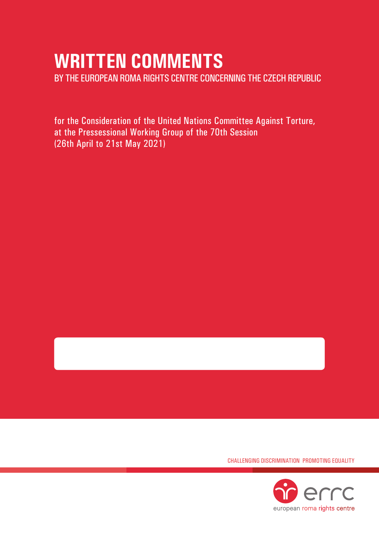# **WRITTEN COMMENTS**

BY THE EUROPEAN ROMA RIGHTS CENTRE CONCERNING THE CZECH REPUBLIC

for the Consideration of the United Nations Committee Against Torture, at the Pressessional Working Group of the 70th Session (26th April to 21st May 2021)

CHALLENGING DISCRIMINATION PROMOTING EQUALITY

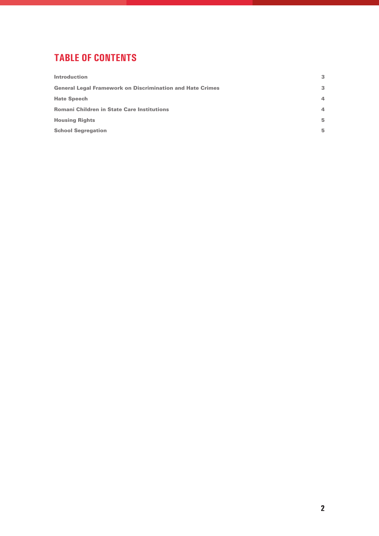# **TABLE OF CONTENTS**

| 3              |
|----------------|
| 3              |
| $\overline{a}$ |
| 4              |
| 5              |
| 5              |
|                |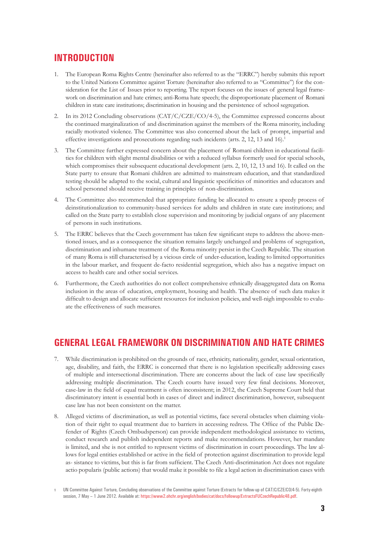### **INTRODUCTION**

- 1. The European Roma Rights Centre (hereinafter also referred to as the "ERRC") hereby submits this report to the United Nations Committee against Torture (hereinafter also referred to as "Committee") for the consideration for the List of Issues prior to reporting. The report focuses on the issues of general legal framework on discrimination and hate crimes; anti-Roma hate speech; the disproportionate placement of Romani children in state care institutions; discrimination in housing and the persistence of school segregation.
- 2. In its 2012 Concluding observations (CAT/C/CZE/CO/4-5), the Committee expressed concerns about the continued marginalization of and discrimination against the members of the Roma minority, including racially motivated violence. The Committee was also concerned about the lack of prompt, impartial and effective investigations and prosecutions regarding such incidents (arts. 2, 12, 13 and 16).<sup>1</sup>
- 3. The Committee further expressed concern about the placement of Romani children in educational facilities for children with slight mental disabilities or with a reduced syllabus formerly used for special schools, which compromises their subsequent educational development (arts. 2, 10, 12, 13 and 16). It called on the State party to ensure that Romani children are admitted to mainstream education, and that standardized testing should be adapted to the social, cultural and linguistic specificities of minorities and educators and school personnel should receive training in principles of non-discrimination.
- 4. The Committee also recommended that appropriate funding be allocated to ensure a speedy process of deinstitutionalization to community-based services for adults and children in state care institutions; and called on the State party to establish close supervision and monitoring by judicial organs of any placement of persons in such institutions.
- 5. The ERRC believes that the Czech government has taken few significant steps to address the above-mentioned issues, and as a consequence the situation remains largely unchanged and problems of segregation, discrimination and inhumane treatment of the Roma minority persist in the Czech Republic. The situation of many Roma is still characterised by a vicious circle of under-education, leading to limited opportunities in the labour market, and frequent de-facto residential segregation, which also has a negative impact on access to health care and other social services.
- 6. Furthermore, the Czech authorities do not collect comprehensive ethnically disaggregated data on Roma inclusion in the areas of education, employment, housing and health. The absence of such data makes it difficult to design and allocate sufficient resources for inclusion policies, and well-nigh impossible to evaluate the effectiveness of such measures.

## **GENERAL LEGAL FRAMEWORK ON DISCRIMINATION AND HATE CRIMES**

- 7. While discrimination is prohibited on the grounds of race, ethnicity, nationality, gender, sexual orientation, age, disability, and faith, the ERRC is concerned that there is no legislation specifically addressing cases of multiple and intersectional discrimination. There are concerns about the lack of case law specifically addressing multiple discrimination. The Czech courts have issued very few final decisions. Moreover, case-law in the field of equal treatment is often inconsistent; in 2012, the Czech Supreme Court held that discriminatory intent is essential both in cases of direct and indirect discrimination, however, subsequent case law has not been consistent on the matter.
- 8. Alleged victims of discrimination, as well as potential victims, face several obstacles when claiming violation of their right to equal treatment due to barriers in accessing redress. The Office of the Public Defender of Rights (Czech Ombudsperson) can provide independent methodological assistance to victims, conduct research and publish independent reports and make recommendations. However, her mandate is limited, and she is not entitled to represent victims of discrimination in court proceedings. The law allows for legal entities established or active in the field of protection against discrimination to provide legal as- sistance to victims, but this is far from sufficient. The Czech Anti-discrimination Act does not regulate actio popularis (public actions) that would make it possible to file a legal action in discrimination cases with

**<sup>1</sup>** UN Committee Against Torture, Concluding observations of the Committee against Torture (Extracts for follow-up of CAT/C/CZE/CO/4-5). Forty-eighth session, 7 May - 1 June 2012. Available at:<https://www2.ohchr.org/english/bodies/cat/docs/followup/ExtractsFUCzechRepublic48.pdf>.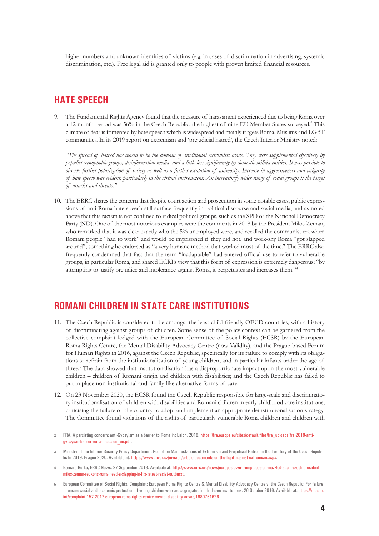higher numbers and unknown identities of victims (e.g. in cases of discrimination in advertising, systemic discrimination, etc.). Free legal aid is granted only to people with proven limited financial resources.

#### **HATE SPEECH**

9. The Fundamental Rights Agency found that the measure of harassment experienced due to being Roma over a 12-month period was 56% in the Czech Republic, the highest of nine EU Member States surveyed.<sup>2</sup> This climate of fear is fomented by hate speech which is widespread and mainly targets Roma, Muslims and LGBT communities. In its 2019 report on extremism and 'prejudicial hatred', the Czech Interior Ministry noted:

*"The spread of hatred has ceased to be the domain of traditional extremists alone. They were supplemented effectively by populist xenophobic groups, disinformation media, and a little less significantly by domestic militia entities. It was possible to observe further polarization of society as well as a further escalation of animosity. Increase in aggressiveness and vulgarity of hate speech was evident, particularly in the virtual environment. An increasingly wider range of social groups is the target of attacks and threats."3*

10. The ERRC shares the concern that despite court action and prosecution in some notable cases, public expressions of anti-Roma hate speech still surface frequently in political discourse and social media, and as noted above that this racism is not confined to radical political groups, such as the SPD or the National Democracy Party (ND). One of the most notorious examples were the comments in 2018 by the President Milos Zeman, who remarked that it was clear exactly who the 5% unemployed were, and recalled the communist era when Romani people "had to work" and would be imprisoned if they did not, and work-shy Roma "got slapped around", something he endorsed as "a very humane method that worked most of the time." The ERRC also frequently condemned that fact that the term "inadaptable" had entered official use to refer to vulnerable groups, in particular Roma, and shared ECRI's view that this form of expression is extremely dangerous; "by attempting to justify prejudice and intolerance against Roma, it perpetuates and increases them."4

#### **ROMANI CHILDREN IN STATE CARE INSTITUTIONS**

- 11. The Czech Republic is considered to be amongst the least child-friendly OECD countries, with a history of discriminating against groups of children. Some sense of the policy context can be garnered from the collective complaint lodged with the European Committee of Social Rights (ECSR) by the European Roma Rights Centre, the Mental Disability Advocacy Centre (now Validity), and the Prague-based Forum for Human Rights in 2016, against the Czech Republic, specifically for its failure to comply with its obligations to refrain from the institutionalisation of young children, and in particular infants under the age of three.5 The data showed that institutionalisation has a disproportionate impact upon the most vulnerable children – children of Romani origin and children with disabilities; and the Czech Republic has failed to put in place non-institutional and family-like alternative forms of care.
- 12. On 23 November 2020, the ECSR found the Czech Republic responsible for large-scale and discriminatory institutionalisation of children with disabilities and Romani children in early childhood care institutions, criticising the failure of the country to adopt and implement an appropriate deinstitutionalisation strategy. The Committee found violations of the rights of particularly vulnerable Roma children and children with
- **2** FRA, A persisting concern: anti-Gypsyism as a barrier to Roma inclusion. 2018. [https://fra.europa.eu/sites/default/files/fra\\_uploads/fra-2018-anti](https://fra.europa.eu/sites/default/files/fra_uploads/fra-2018-anti-gypsyism-barrier-roma-inclusion_en.pdf)[gypsyism-barrier-roma-inclusion\\_en.pdf](https://fra.europa.eu/sites/default/files/fra_uploads/fra-2018-anti-gypsyism-barrier-roma-inclusion_en.pdf).
- **3** Ministry of the Interior Security Policy Department, Report on Manifestations of Extremism and Prejudicial Hatred in the Territory of the Czech Republic In 2019. Prague 2020. Available at: [https://www.mvcr.cz/mvcren/article/documents-on-the-fight-against-extremism.aspx.](https://www.mvcr.cz/mvcren/article/documents-on-the-fight-against-extremism.aspx)
- **4** Bernard Rorke, ERRC News, 27 September 2018. Available at: [http://www.errc.org/news/europes-own-trump-goes-un-muzzled-again-czech-president](http://www.errc.org/news/europes-own-trump-goes-un-muzzled-again-czech-president-milos-zeman-reckons-roma-need-a-slapping-in-his-latest-racist-outburst)[milos-zeman-reckons-roma-need-a-slapping-in-his-latest-racist-outburst.](http://www.errc.org/news/europes-own-trump-goes-un-muzzled-again-czech-president-milos-zeman-reckons-roma-need-a-slapping-in-his-latest-racist-outburst)
- **5** European Committee of Social Rights, Complaint: European Roma Rights Centre & Mental Disability Advocacy Centre v. the Czech Republic: For failure to ensure social and economic protection of young children who are segregated in child-care institutions. 26 October 2016. Available at: [https://rm.coe.](https://rm.coe.int/complaint-157-2017-european-roma-rights-centre-mental-disability-advoc/1680761626) [int/complaint-157-2017-european-roma-rights-centre-mental-disability-advoc/1680761626.](https://rm.coe.int/complaint-157-2017-european-roma-rights-centre-mental-disability-advoc/1680761626)